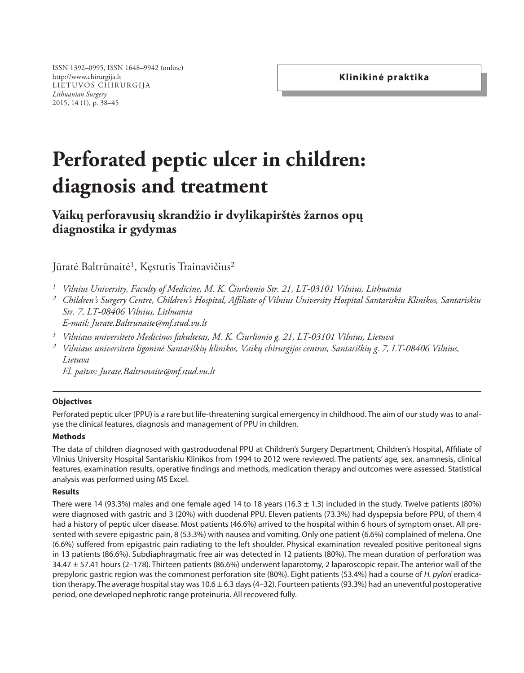ISSN 1392–0995, ISSN 1648–9942 (online) http://www.chirurgija.lt LIETUVOS CHIRURGIJA *Lithuanian Surgery* 2015, 14 (1), p. 38–45

# **Perforated peptic ulcer in children: diagnosis and treatment**

# **Vaikų perforavusių skrandžio ir dvylikapirštės žarnos opų diagnostika ir gydymas**

Jūratė Baltrūnaitė<sup>1</sup>, Kęstutis Trainavičius<sup>2</sup>

- *1 Vilnius University, Faculty of Medicine, M. K. Čiurlionio Str. 21, LT-03101 Vilnius, Lithuania*
- *<sup>2</sup> Children's Surgery Centre, Children's Hospital, Affiliate of Vilnius University Hospital Santariskiu Klinikos, Santariskiu Str. 7, LT-08406 Vilnius, Lithuania E-mail: Jurate.Baltrunaite@mf.stud.vu.lt*
- *1 Vilniaus universiteto Medicinos fakultetas, M. K. Čiurlionio g. 21, LT-03101 Vilnius, Lietuva*
- *<sup>2</sup> Vilniaus universiteto ligoninė Santariškių klinikos, Vaikų chirurgijos centras, Santariškių g. 7, LT-08406 Vilnius, Lietuva*

*El. paštas: Jurate.Baltrunaite@mf.stud.vu.lt*

# **Objectives**

Perforated peptic ulcer (PPU) is a rare but life-threatening surgical emergency in childhood. The aim of our study was to analyse the clinical features, diagnosis and management of PPU in children.

#### **Methods**

The data of children diagnosed with gastroduodenal PPU at Children's Surgery Department, Children's Hospital, Affiliate of Vilnius University Hospital Santariskiu Klinikos from 1994 to 2012 were reviewed. The patients' age, sex, anamnesis, clinical features, examination results, operative findings and methods, medication therapy and outcomes were assessed. Statistical analysis was performed using MS Excel.

#### **Results**

There were 14 (93.3%) males and one female aged 14 to 18 years (16.3  $\pm$  1.3) included in the study. Twelve patients (80%) were diagnosed with gastric and 3 (20%) with duodenal PPU. Eleven patients (73.3%) had dyspepsia before PPU, of them 4 had a history of peptic ulcer disease. Most patients (46.6%) arrived to the hospital within 6 hours of symptom onset. All presented with severe epigastric pain, 8 (53.3%) with nausea and vomiting. Only one patient (6.6%) complained of melena. One (6.6%) suffered from epigastric pain radiating to the left shoulder. Physical examination revealed positive peritoneal signs in 13 patients (86.6%). Subdiaphragmatic free air was detected in 12 patients (80%). The mean duration of perforation was  $34.47 \pm 57.41$  hours (2-178). Thirteen patients (86.6%) underwent laparotomy, 2 laparoscopic repair. The anterior wall of the prepyloric gastric region was the commonest perforation site (80%). Eight patients (53.4%) had a course of *H. pylori* eradication therapy. The average hospital stay was  $10.6 \pm 6.3$  days (4-32). Fourteen patients (93.3%) had an uneventful postoperative period, one developed nephrotic range proteinuria. All recovered fully.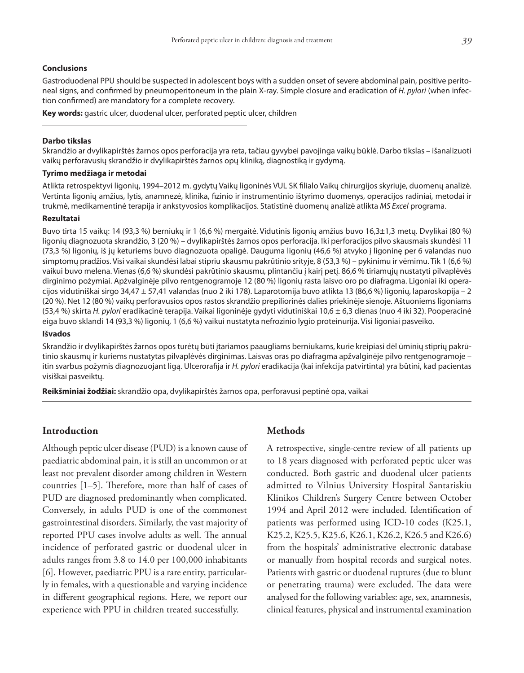#### **Conclusions**

Gastroduodenal PPU should be suspected in adolescent boys with a sudden onset of severe abdominal pain, positive peritoneal signs, and confirmed by pneumoperitoneum in the plain X-ray. Simple closure and eradication of *H. pylori* (when infection confirmed) are mandatory for a complete recovery.

**Key words:** gastric ulcer, duodenal ulcer, perforated peptic ulcer, children

#### **Darbo tikslas**

Skrandžio ar dvylikapirštės žarnos opos perforacija yra reta, tačiau gyvybei pavojinga vaikų būklė. Darbo tikslas – išanalizuoti vaikų perforavusių skrandžio ir dvylikapirštės žarnos opų kliniką, diagnostiką ir gydymą.

#### **Tyrimo medžiaga ir metodai**

Atlikta retrospektyvi ligonių, 1994–2012 m. gydytų Vaikų ligoninės VUL SK filialo Vaikų chirurgijos skyriuje, duomenų analizė. Vertinta ligonių amžius, lytis, anamnezė, klinika, fizinio ir instrumentinio ištyrimo duomenys, operacijos radiniai, metodai ir trukmė, medikamentinė terapija ir ankstyvosios komplikacijos. Statistinė duomenų analizė atlikta *MS Excel* programa.

#### **Rezultatai**

Buvo tirta 15 vaikų: 14 (93,3 %) berniukų ir 1 (6,6 %) mergaitė. Vidutinis ligonių amžius buvo 16,3±1,3 metų. Dvylikai (80 %) ligonių diagnozuota skrandžio, 3 (20 %) – dvylikapirštės žarnos opos perforacija. Iki perforacijos pilvo skausmais skundėsi 11 (73,3 %) ligonių, iš jų keturiems buvo diagnozuota opaligė. Dauguma ligonių (46,6 %) atvyko į ligoninę per 6 valandas nuo simptomų pradžios. Visi vaikai skundėsi labai stipriu skausmu pakrūtinio srityje, 8 (53,3 %) – pykinimu ir vėmimu. Tik 1 (6,6 %) vaikui buvo melena. Vienas (6,6 %) skundėsi pakrūtinio skausmu, plintančiu į kairį petį. 86,6 % tiriamųjų nustatyti pilvaplėvės dirginimo požymiai. Apžvalginėje pilvo rentgenogramoje 12 (80 %) ligonių rasta laisvo oro po diafragma. Ligoniai iki operacijos vidutiniškai sirgo 34,47 ± 57,41 valandas (nuo 2 iki 178). Laparotomija buvo atlikta 13 (86,6 %) ligonių, laparoskopija – 2 (20 %). Net 12 (80 %) vaikų perforavusios opos rastos skrandžio prepiliorinės dalies priekinėje sienoje. Aštuoniems ligoniams (53,4 %) skirta *H. pylori* eradikacinė terapija. Vaikai ligoninėje gydyti vidutiniškai 10,6 ± 6,3 dienas (nuo 4 iki 32). Pooperacinė eiga buvo sklandi 14 (93,3 %) ligonių, 1 (6,6 %) vaikui nustatyta nefrozinio lygio proteinurija. Visi ligoniai pasveiko.

#### **Išvados**

Skrandžio ir dvylikapirštės žarnos opos turėtų būti įtariamos paaugliams berniukams, kurie kreipiasi dėl ūminių stiprių pakrūtinio skausmų ir kuriems nustatytas pilvaplėvės dirginimas. Laisvas oras po diafragma apžvalginėje pilvo rentgenogramoje – itin svarbus požymis diagnozuojant ligą. Ulcerorafija ir *H. pylori* eradikacija (kai infekcija patvirtinta) yra būtini, kad pacientas visiškai pasveiktų.

**Reikšminiai žodžiai:** skrandžio opa, dvylikapirštės žarnos opa, perforavusi peptinė opa, vaikai

#### **Introduction**

Although peptic ulcer disease (PUD) is a known cause of paediatric abdominal pain, it is still an uncommon or at least not prevalent disorder among children in Western countries [1–5]. Therefore, more than half of cases of PUD are diagnosed predominantly when complicated. Conversely, in adults PUD is one of the commonest gastrointestinal disorders. Similarly, the vast majority of reported PPU cases involve adults as well. The annual incidence of perforated gastric or duodenal ulcer in adults ranges from 3.8 to 14.0 per 100,000 inhabitants [6]. However, paediatric PPU is a rare entity, particularly in females, with a questionable and varying incidence in different geographical regions. Here, we report our experience with PPU in children treated successfully.

#### **Methods**

A retrospective, single-centre review of all patients up to 18 years diagnosed with perforated peptic ulcer was conducted. Both gastric and duodenal ulcer patients admitted to Vilnius University Hospital Santariskiu Klinikos Children's Surgery Centre between October 1994 and April 2012 were included. Identification of patients was performed using ICD-10 codes (K25.1, K25.2, K25.5, K25.6, K26.1, K26.2, K26.5 and K26.6) from the hospitals' administrative electronic database or manually from hospital records and surgical notes. Patients with gastric or duodenal ruptures (due to blunt or penetrating trauma) were excluded. The data were analysed for the following variables: age, sex, anamnesis, clinical features, physical and instrumental examination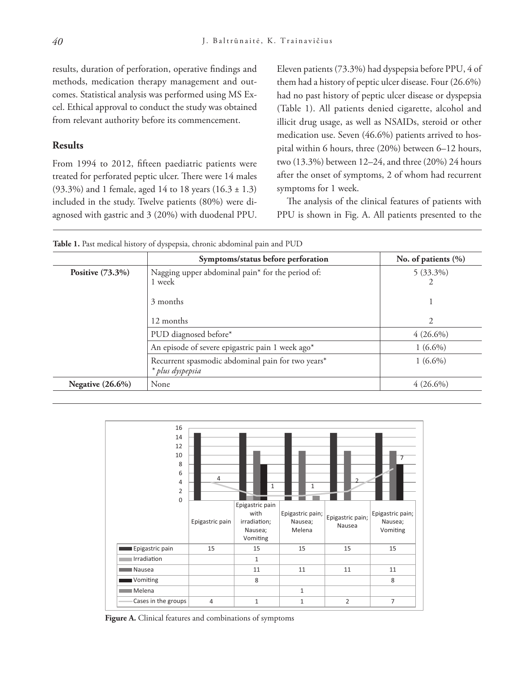results, duration of perforation, operative findings and methods, medication therapy management and outcomes. Statistical analysis was performed using MS Excel. Ethical approval to conduct the study was obtained from relevant authority before its commencement.

### **Results**

From 1994 to 2012, fifteen paediatric patients were treated for perforated peptic ulcer. There were 14 males (93.3%) and 1 female, aged 14 to 18 years  $(16.3 \pm 1.3)$ included in the study. Twelve patients (80%) were diagnosed with gastric and 3 (20%) with duodenal PPU.

Eleven patients (73.3%) had dyspepsia before PPU, 4 of them had a history of peptic ulcer disease. Four (26.6%) had no past history of peptic ulcer disease or dyspepsia (Table 1). All patients denied cigarette, alcohol and illicit drug usage, as well as NSAIDs, steroid or other medication use. Seven (46.6%) patients arrived to hospital within 6 hours, three (20%) between 6–12 hours, two (13.3%) between 12–24, and three (20%) 24 hours after the onset of symptoms, 2 of whom had recurrent symptoms for 1 week.

The analysis of the clinical features of patients with PPU is shown in Fig. A. All patients presented to the

|                     | Symptoms/status before perforation                                    | No. of patients $(\% )$ |
|---------------------|-----------------------------------------------------------------------|-------------------------|
| Positive $(73.3\%)$ | Nagging upper abdominal pain* for the period of:<br>1 week            | $5(33.3\%)$<br>2        |
|                     | 3 months                                                              |                         |
|                     | 12 months                                                             | 2                       |
|                     | PUD diagnosed before*                                                 | $4(26.6\%)$             |
|                     | An episode of severe epigastric pain 1 week ago*                      | $1(6.6\%)$              |
|                     | Recurrent spasmodic abdominal pain for two years*<br>* plus dyspepsia | $1(6.6\%)$              |
| Negative $(26.6\%)$ | None                                                                  | $4(26.6\%)$             |

**Table 1.** Past medical history of dyspepsia, chronic abdominal pain and PUD



**Figure A.** Clinical features and combinations of symptoms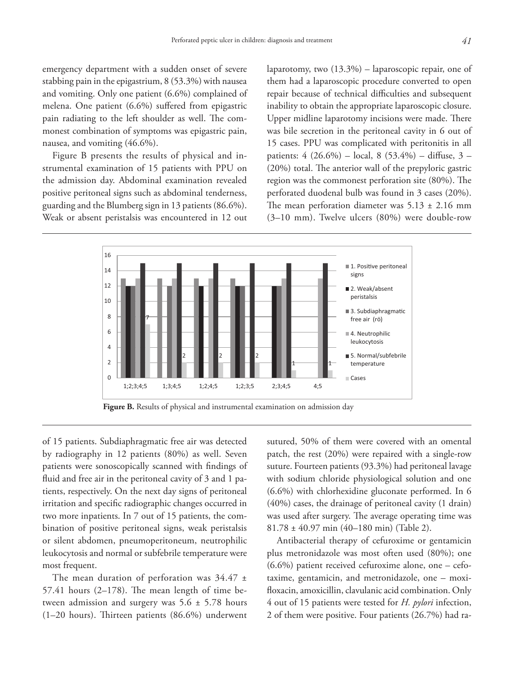emergency department with a sudden onset of severe stabbing pain in the epigastrium, 8 (53.3%) with nausea and vomiting. Only one patient (6.6%) complained of melena. One patient (6.6%) suffered from epigastric pain radiating to the left shoulder as well. The commonest combination of symptoms was epigastric pain, nausea, and vomiting (46.6%).

Figure B presents the results of physical and instrumental examination of 15 patients with PPU on the admission day. Abdominal examination revealed positive peritoneal signs such as abdominal tenderness, guarding and the Blumberg sign in 13 patients (86.6%). Weak or absent peristalsis was encountered in 12 out laparotomy, two (13.3%) – laparoscopic repair, one of them had a laparoscopic procedure converted to open repair because of technical difficulties and subsequent inability to obtain the appropriate laparoscopic closure. Upper midline laparotomy incisions were made. There was bile secretion in the peritoneal cavity in 6 out of 15 cases. PPU was complicated with peritonitis in all patients: 4 (26.6%) – local, 8 (53.4%) – diffuse, 3 – (20%) total. The anterior wall of the prepyloric gastric region was the commonest perforation site (80%). The perforated duodenal bulb was found in 3 cases (20%). The mean perforation diameter was  $5.13 \pm 2.16$  mm (3–10 mm). Twelve ulcers (80%) were double-row





of 15 patients. Subdiaphragmatic free air was detected by radiography in 12 patients (80%) as well. Seven patients were sonoscopically scanned with findings of fluid and free air in the peritoneal cavity of 3 and 1 patients, respectively. On the next day signs of peritoneal irritation and specific radiographic changes occurred in two more inpatients. In 7 out of 15 patients, the combination of positive peritoneal signs, weak peristalsis or silent abdomen, pneumoperitoneum, neutrophilic leukocytosis and normal or subfebrile temperature were most frequent.

The mean duration of perforation was  $34.47 \pm$ 57.41 hours  $(2-178)$ . The mean length of time between admission and surgery was 5.6 ± 5.78 hours (1–20 hours). Thirteen patients (86.6%) underwent

sutured, 50% of them were covered with an omental patch, the rest (20%) were repaired with a single-row suture. Fourteen patients (93.3%) had peritoneal lavage with sodium chloride physiological solution and one (6.6%) with chlorhexidine gluconate performed. In 6 (40%) cases, the drainage of peritoneal cavity (1 drain) was used after surgery. The average operating time was 81.78 ± 40.97 min (40–180 min) (Table 2).

Antibacterial therapy of cefuroxime or gentamicin plus metronidazole was most often used (80%); one (6.6%) patient received cefuroxime alone, one – cefotaxime, gentamicin, and metronidazole, one – moxifloxacin, amoxicillin, clavulanic acid combination. Only 4 out of 15 patients were tested for *H. pylori* infection, 2 of them were positive. Four patients (26.7%) had ra-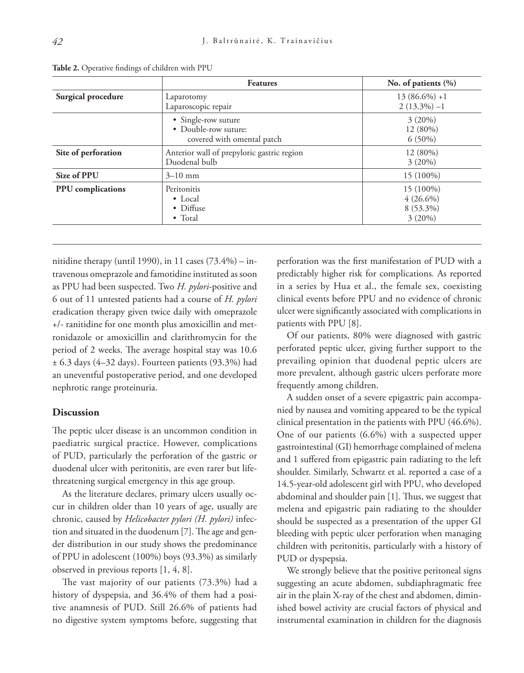|                     | <b>Features</b>                                                           | No. of patients $(\% )$                            |
|---------------------|---------------------------------------------------------------------------|----------------------------------------------------|
| Surgical procedure  | Laparotomy<br>Laparoscopic repair                                         | $13(86.6\%) +1$<br>$2(13.3\%) -1$                  |
|                     | • Single-row suture<br>• Double-row suture:<br>covered with omental patch | 3(20%)<br>12 (80%)<br>$6(50\%)$                    |
| Site of perforation | Anterior wall of prepyloric gastric region<br>Duodenal bulb               | 12 (80%)<br>$3(20\%)$                              |
| Size of PPU         | $3 - 10$ mm                                                               | 15 (100%)                                          |
| PPU complications   | Peritonitis<br>$\bullet$ Local<br>• Diffuse<br>$\bullet$ Total            | 15 (100%)<br>$4(26.6\%)$<br>8 (53.3%)<br>$3(20\%)$ |

**Table 2.** Operative findings of children with PPU

nitidine therapy (until 1990), in 11 cases  $(73.4\%)$  – intravenous omeprazole and famotidine instituted as soon as PPU had been suspected. Two *H. pylori*-positive and 6 out of 11 untested patients had a course of *H. pylori*  eradication therapy given twice daily with omeprazole +/- ranitidine for one month plus amoxicillin and metronidazole or amoxicillin and clarithromycin for the period of 2 weeks. The average hospital stay was 10.6 ± 6.3 days (4–32 days). Fourteen patients (93.3%) had an uneventful postoperative period, and one developed nephrotic range proteinuria.

#### **Discussion**

The peptic ulcer disease is an uncommon condition in paediatric surgical practice. However, complications of PUD, particularly the perforation of the gastric or duodenal ulcer with peritonitis, are even rarer but lifethreatening surgical emergency in this age group.

As the literature declares, primary ulcers usually occur in children older than 10 years of age, usually are chronic, caused by *Helicobacter pylori (H. pylori)* infection and situated in the duodenum [7]. The age and gender distribution in our study shows the predominance of PPU in adolescent (100%) boys (93.3%) as similarly observed in previous reports [1, 4, 8].

The vast majority of our patients (73.3%) had a history of dyspepsia, and 36.4% of them had a positive anamnesis of PUD. Still 26.6% of patients had no digestive system symptoms before, suggesting that

perforation was the first manifestation of PUD with a predictably higher risk for complications*.* As reported in a series by Hua et al., the female sex, coexisting clinical events before PPU and no evidence of chronic ulcer were significantly associated with complications in patients with PPU [8].

Of our patients, 80% were diagnosed with gastric perforated peptic ulcer, giving further support to the prevailing opinion that duodenal peptic ulcers are more prevalent, although gastric ulcers perforate more frequently among children.

A sudden onset of a severe epigastric pain accompanied by nausea and vomiting appeared to be the typical clinical presentation in the patients with PPU (46.6%). One of our patients (6.6%) with a suspected upper gastrointestinal (GI) hemorrhage complained of melena and 1 suffered from epigastric pain radiating to the left shoulder. Similarly, Schwartz et al. reported a case of a 14.5-year-old adolescent girl with PPU, who developed abdominal and shoulder pain [1]. Thus, we suggest that melena and epigastric pain radiating to the shoulder should be suspected as a presentation of the upper GI bleeding with peptic ulcer perforation when managing children with peritonitis, particularly with a history of PUD or dyspepsia.

We strongly believe that the positive peritoneal signs suggesting an acute abdomen, subdiaphragmatic free air in the plain X-ray of the chest and abdomen, diminished bowel activity are crucial factors of physical and instrumental examination in children for the diagnosis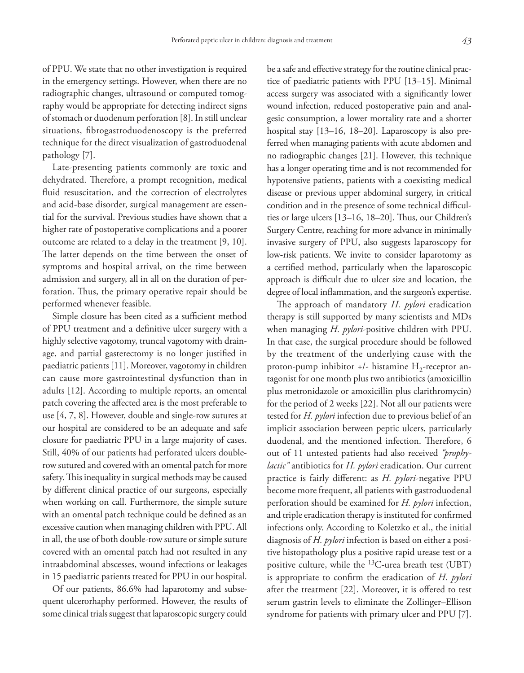of PPU. We state that no other investigation is required in the emergency settings. However, when there are no radiographic changes, ultrasound or computed tomography would be appropriate for detecting indirect signs of stomach or duodenum perforation [8]. In still unclear situations, fibrogastroduodenoscopy is the preferred technique for the direct visualization of gastroduodenal pathology [7].

Late-presenting patients commonly are toxic and dehydrated. Therefore, a prompt recognition, medical fluid resuscitation, and the correction of electrolytes and acid-base disorder, surgical management are essential for the survival. Previous studies have shown that a higher rate of postoperative complications and a poorer outcome are related to a delay in the treatment [9, 10]. The latter depends on the time between the onset of symptoms and hospital arrival, on the time between admission and surgery, all in all on the duration of perforation. Thus, the primary operative repair should be performed whenever feasible.

Simple closure has been cited as a sufficient method of PPU treatment and a definitive ulcer surgery with a highly selective vagotomy, truncal vagotomy with drainage, and partial gasterectomy is no longer justified in paediatric patients [11]. Moreover, vagotomy in children can cause more gastrointestinal dysfunction than in adults [12]. According to multiple reports, an omental patch covering the affected area is the most preferable to use [4, 7, 8]. However, double and single-row sutures at our hospital are considered to be an adequate and safe closure for paediatric PPU in a large majority of cases. Still, 40% of our patients had perforated ulcers doublerow sutured and covered with an omental patch for more safety. This inequality in surgical methods may be caused by different clinical practice of our surgeons, especially when working on call. Furthermore, the simple suture with an omental patch technique could be defined as an excessive caution when managing children with PPU. All in all, the use of both double-row suture or simple suture covered with an omental patch had not resulted in any intraabdominal abscesses, wound infections or leakages in 15 paediatric patients treated for PPU in our hospital.

Of our patients, 86.6% had laparotomy and subsequent ulcerorhaphy performed. However, the results of some clinical trials suggest that laparoscopic surgery could be a safe and effective strategy for the routine clinical practice of paediatric patients with PPU [13–15]. Minimal access surgery was associated with a significantly lower wound infection, reduced postoperative pain and analgesic consumption, a lower mortality rate and a shorter hospital stay [13–16, 18–20]. Laparoscopy is also preferred when managing patients with acute abdomen and no radiographic changes [21]. However, this technique has a longer operating time and is not recommended for hypotensive patients, patients with a coexisting medical disease or previous upper abdominal surgery, in critical condition and in the presence of some technical difficulties or large ulcers [13–16, 18–20]. Thus, our Children's Surgery Centre, reaching for more advance in minimally invasive surgery of PPU, also suggests laparoscopy for low-risk patients. We invite to consider laparotomy as a certified method, particularly when the laparoscopic approach is difficult due to ulcer size and location, the degree of local inflammation, and the surgeon's expertise.

The approach of mandatory *H. pylori* eradication therapy is still supported by many scientists and MDs when managing *H. pylori*-positive children with PPU. In that case, the surgical procedure should be followed by the treatment of the underlying cause with the proton-pump inhibitor  $+/-$  histamine  $H_2$ -receptor antagonist for one month plus two antibiotics (amoxicillin plus metronidazole or amoxicillin plus clarithromycin) for the period of 2 weeks [22]. Not all our patients were tested for *H. pylori* infection due to previous belief of an implicit association between peptic ulcers, particularly duodenal, and the mentioned infection. Therefore, 6 out of 11 untested patients had also received *"prophylactic"* antibiotics for *H. pylori* eradication. Our current practice is fairly different: as *H. pylori*-negative PPU become more frequent, all patients with gastroduodenal perforation should be examined for *H. pylori* infection, and triple eradication therapy is instituted for confirmed infections only. According to Koletzko et al., the initial diagnosis of *H. pylori* infection is based on either a positive histopathology plus a positive rapid urease test or a positive culture, while the 13C-urea breath test (UBT) is appropriate to confirm the eradication of *H. pylori*  after the treatment [22]. Moreover, it is offered to test serum gastrin levels to eliminate the Zollinger–Ellison syndrome for patients with primary ulcer and PPU [7].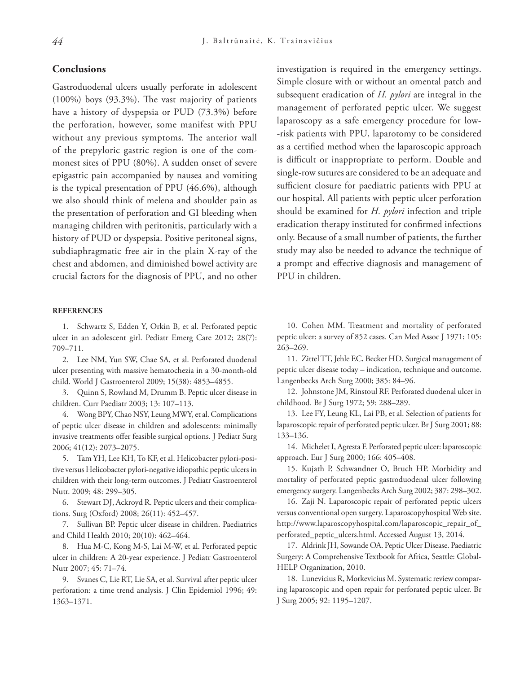## **Conclusions**

Gastroduodenal ulcers usually perforate in adolescent (100%) boys (93.3%). The vast majority of patients have a history of dyspepsia or PUD (73.3%) before the perforation, however, some manifest with PPU without any previous symptoms. The anterior wall of the prepyloric gastric region is one of the commonest sites of PPU (80%). A sudden onset of severe epigastric pain accompanied by nausea and vomiting is the typical presentation of PPU (46.6%), although we also should think of melena and shoulder pain as the presentation of perforation and GI bleeding when managing children with peritonitis, particularly with a history of PUD or dyspepsia. Positive peritoneal signs, subdiaphragmatic free air in the plain X-ray of the chest and abdomen, and diminished bowel activity are crucial factors for the diagnosis of PPU, and no other

#### **REFERENCES**

1. Schwartz S, Edden Y, Orkin B, et al. Perforated peptic ulcer in an adolescent girl. Pediatr Emerg Care 2012; 28(7): 709–711.

2. Lee NM, Yun SW, Chae SA, et al. Perforated duodenal ulcer presenting with massive hematochezia in a 30-month-old child. World J Gastroenterol 2009; 15(38): 4853–4855.

3. Quinn S, Rowland M, Drumm B. Peptic ulcer disease in children. Curr Paediatr 2003; 13: 107–113.

4. Wong BPY, Chao NSY, Leung MWY, et al. Complications of peptic ulcer disease in children and adolescents: minimally invasive treatments offer feasible surgical options. J Pediatr Surg 2006; 41(12): 2073–2075.

5. Tam YH, Lee KH, To KF, et al. Helicobacter pylori-positive versus Helicobacter pylori-negative idiopathic peptic ulcers in children with their long-term outcomes. J Pediatr Gastroenterol Nutr. 2009; 48: 299–305.

6. Stewart DJ, Ackroyd R. Peptic ulcers and their complications. Surg (Oxford) 2008; 26(11): 452–457.

7. Sullivan BP. Peptic ulcer disease in children. Paediatrics and Child Health 2010; 20(10): 462–464.

8. Hua M-C, Kong M-S, Lai M-W, et al. Perforated peptic ulcer in children: A 20-year experience. J Pediatr Gastroenterol Nutr 2007; 45: 71–74.

9. Svanes C, Lie RT, Lie SA, et al. Survival after peptic ulcer perforation: a time trend analysis. J Clin Epidemiol 1996; 49: 1363–1371.

investigation is required in the emergency settings. Simple closure with or without an omental patch and subsequent eradication of *H. pylori* are integral in the management of perforated peptic ulcer. We suggest laparoscopy as a safe emergency procedure for low- -risk patients with PPU, laparotomy to be considered as a certified method when the laparoscopic approach is difficult or inappropriate to perform. Double and single-row sutures are considered to be an adequate and sufficient closure for paediatric patients with PPU at our hospital. All patients with peptic ulcer perforation should be examined for *H. pylori* infection and triple eradication therapy instituted for confirmed infections only. Because of a small number of patients, the further study may also be needed to advance the technique of a prompt and effective diagnosis and management of PPU in children.

10. Cohen MM. Treatment and mortality of perforated peptic ulcer: a survey of 852 cases. Can Med Assoc J 1971; 105: 263–269.

11. Zittel TT, Jehle EC, Becker HD. Surgical management of peptic ulcer disease today – indication, technique and outcome. Langenbecks Arch Surg 2000; 385: 84–96.

12. Johnstone JM, Rinstoul RF. Perforated duodenal ulcer in childhood. Br J Surg 1972; 59: 288–289.

13. Lee FY, Leung KL, Lai PB, et al. Selection of patients for laparoscopic repair of perforated peptic ulcer. Br J Surg 2001; 88: 133–136.

14. Michelet I, Agresta F. Perforated peptic ulcer: laparoscopic approach. Eur J Surg 2000; 166: 405–408.

15. Kujath P, Schwandner O, Bruch HP. Morbidity and mortality of perforated peptic gastroduodenal ulcer following emergency surgery. Langenbecks Arch Surg 2002; 387: 298–302.

16. Zaji N. Laparoscopic repair of perforated peptic ulcers versus conventional open surgery. Laparoscopyhospital Web site. http://www.laparoscopyhospital.com/laparoscopic\_repair\_of\_ perforated\_peptic\_ulcers.html. Accessed August 13, 2014.

17. Aldrink JH, Sowande OA. Peptic Ulcer Disease. Paediatric Surgery: A Comprehensive Textbook for Africa, Seattle: Global-HELP Organization, 2010.

18. Lunevicius R, Morkevicius M. Systematic review comparing laparoscopic and open repair for perforated peptic ulcer. Br J Surg 2005; 92: 1195–1207.